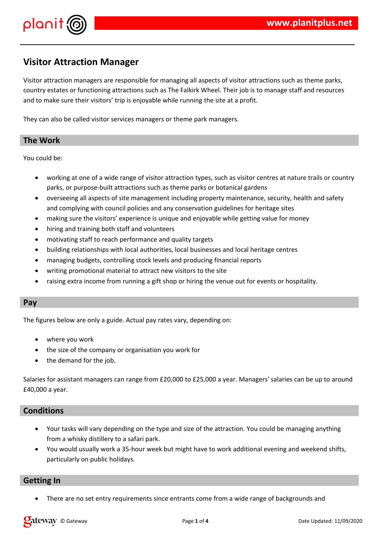



# **Visitor Attraction Manager**

Visitor attraction managers are responsible for managing all aspects of visitor attractions such as theme parks, country estates or functioning attractions such as The Falkirk Wheel. Their job is to manage staff and resources and to make sure their visitors' trip is enjoyable while running the site at a profit.

They can also be called visitor services managers or theme park managers.

# **The Work**

You could be:

- working at one of a wide range of visitor attraction types, such as visitor centres at nature trails or country parks, or purpose-built attractions such as theme parks or botanical gardens
- overseeing all aspects of site management including property maintenance, security, health and safety and complying with council policies and any conservation guidelines for heritage sites
- making sure the visitors' experience is unique and enjoyable while getting value for money
- hiring and training both staff and volunteers
- motivating staff to reach performance and quality targets
- building relationships with local authorities, local businesses and local heritage centres
- managing budgets, controlling stock levels and producing financial reports
- writing promotional material to attract new visitors to the site
- raising extra income from running a gift shop or hiring the venue out for events or hospitality.

#### **Pay**

The figures below are only a guide. Actual pay rates vary, depending on:

- where you work
- the size of the company or organisation you work for
- the demand for the job.

Salaries for assistant managers can range from £20,000 to £25,000 a year. Managers' salaries can be up to around £40,000 a year.

# **Conditions**

- Your tasks will vary depending on the type and size of the attraction. You could be managing anything from a whisky distillery to a safari park.
- You would usually work a 35-hour week but might have to work additional evening and weekend shifts, particularly on public holidays.

#### **Getting In**

There are no set entry requirements since entrants come from a wide range of backgrounds and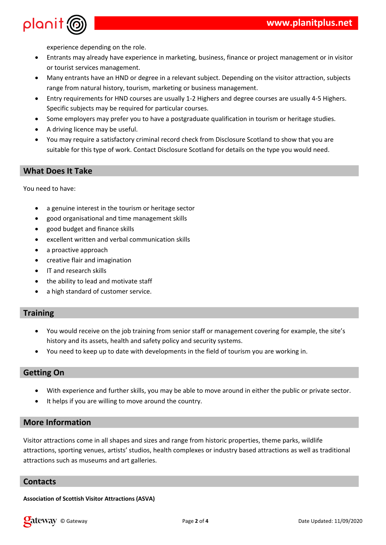



experience depending on the role.

- Entrants may already have experience in marketing, business, finance or project management or in visitor or tourist services management.
- Many entrants have an HND or degree in a relevant subject. Depending on the visitor attraction, subjects range from natural history, tourism, marketing or business management.
- Entry requirements for HND courses are usually 1-2 Highers and degree courses are usually 4-5 Highers. Specific subjects may be required for particular courses.
- Some employers may prefer you to have a postgraduate qualification in tourism or heritage studies.
- A driving licence may be useful.
- You may require a satisfactory criminal record check from Disclosure Scotland to show that you are suitable for this type of work. Contact Disclosure Scotland for details on the type you would need.

# **What Does It Take**

You need to have:

- a genuine interest in the tourism or heritage sector
- good organisational and time management skills
- good budget and finance skills
- excellent written and verbal communication skills
- a proactive approach
- creative flair and imagination
- IT and research skills
- the ability to lead and motivate staff
- a high standard of customer service.

# **Training**

- You would receive on the job training from senior staff or management covering for example, the site's history and its assets, health and safety policy and security systems.
- You need to keep up to date with developments in the field of tourism you are working in.

# **Getting On**

- With experience and further skills, you may be able to move around in either the public or private sector.
- It helps if you are willing to move around the country.

# **More Information**

Visitor attractions come in all shapes and sizes and range from historic properties, theme parks, wildlife attractions, sporting venues, artists' studios, health complexes or industry based attractions as well as traditional attractions such as museums and art galleries.

#### **Contacts**

**Association of Scottish Visitor Attractions (ASVA)**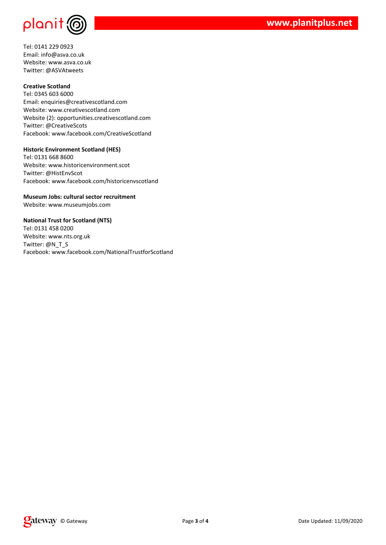

Tel: 0141 229 0923 Email: info@asva.co.uk Website: www.asva.co.uk Twitter: @ASVAtweets

#### **Creative Scotland**

Tel: 0345 603 6000 Email: enquiries@creativescotland.com Website: www.creativescotland.com Website (2): opportunities.creativescotland.com Twitter: @CreativeScots Facebook: www.facebook.com/CreativeScotland

#### **Historic Environment Scotland (HES)**

Tel: 0131 668 8600 Website: www.historicenvironment.scot Twitter: @HistEnvScot Facebook: www.facebook.com/historicenvscotland

**Museum Jobs: cultural sector recruitment** Website: www.museumjobs.com

#### **National Trust for Scotland (NTS)**

Tel: 0131 458 0200 Website: www.nts.org.uk Twitter: @N\_T\_S Facebook: www.facebook.com/NationalTrustforScotland